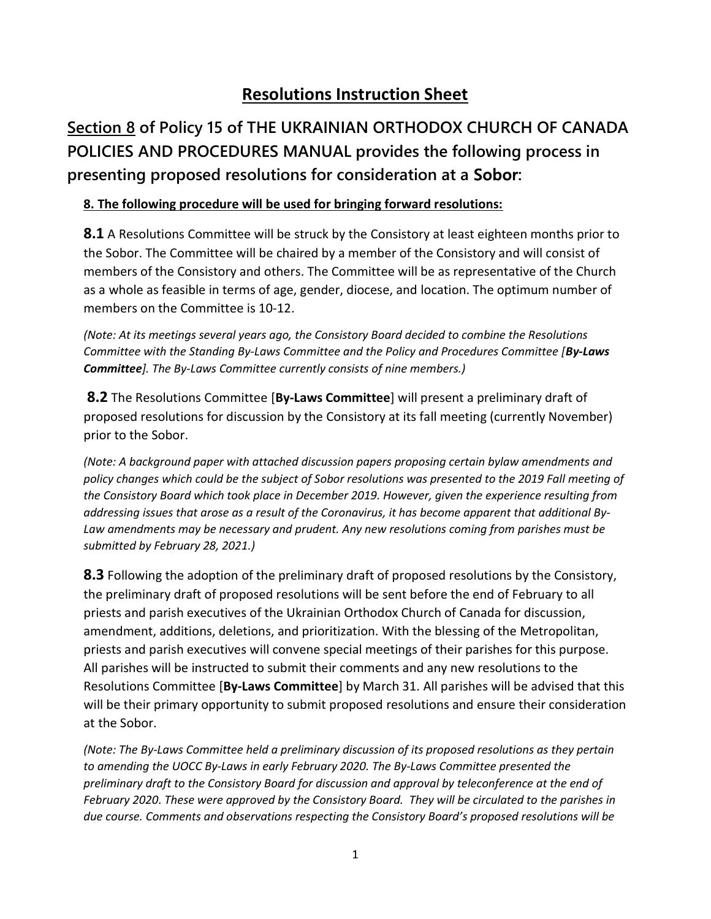## Resolutions Instruction Sheet

## Section 8 of Policy 15 of THE UKRAINIAN ORTHODOX CHURCH OF CANADA POLICIES AND PROCEDURES MANUAL provides the following process in presenting proposed resolutions for consideration at a Sobor:

## 8. The following procedure will be used for bringing forward resolutions:

**8.1** A Resolutions Committee will be struck by the Consistory at least eighteen months prior to the Sobor. The Committee will be chaired by a member of the Consistory and will consist of members of the Consistory and others. The Committee will be as representative of the Church as a whole as feasible in terms of age, gender, diocese, and location. The optimum number of members on the Committee is 10-12.

(Note: At its meetings several years ago, the Consistory Board decided to combine the Resolutions Committee with the Standing By-Laws Committee and the Policy and Procedures Committee [By-Laws Committee]. The By-Laws Committee currently consists of nine members.)

8.2 The Resolutions Committee [By-Laws Committee] will present a preliminary draft of proposed resolutions for discussion by the Consistory at its fall meeting (currently November) prior to the Sobor.

(Note: A background paper with attached discussion papers proposing certain bylaw amendments and policy changes which could be the subject of Sobor resolutions was presented to the 2019 Fall meeting of the Consistory Board which took place in December 2019. However, given the experience resulting from addressing issues that arose as a result of the Coronavirus, it has become apparent that additional By-Law amendments may be necessary and prudent. Any new resolutions coming from parishes must be submitted by February 28, 2021.)

**8.3** Following the adoption of the preliminary draft of proposed resolutions by the Consistory, the preliminary draft of proposed resolutions will be sent before the end of February to all priests and parish executives of the Ukrainian Orthodox Church of Canada for discussion, amendment, additions, deletions, and prioritization. With the blessing of the Metropolitan, priests and parish executives will convene special meetings of their parishes for this purpose. All parishes will be instructed to submit their comments and any new resolutions to the Resolutions Committee [By-Laws Committee] by March 31. All parishes will be advised that this will be their primary opportunity to submit proposed resolutions and ensure their consideration at the Sobor.

(Note: The By-Laws Committee held a preliminary discussion of its proposed resolutions as they pertain to amending the UOCC By-Laws in early February 2020. The By-Laws Committee presented the preliminary draft to the Consistory Board for discussion and approval by teleconference at the end of February 2020. These were approved by the Consistory Board. They will be circulated to the parishes in due course. Comments and observations respecting the Consistory Board's proposed resolutions will be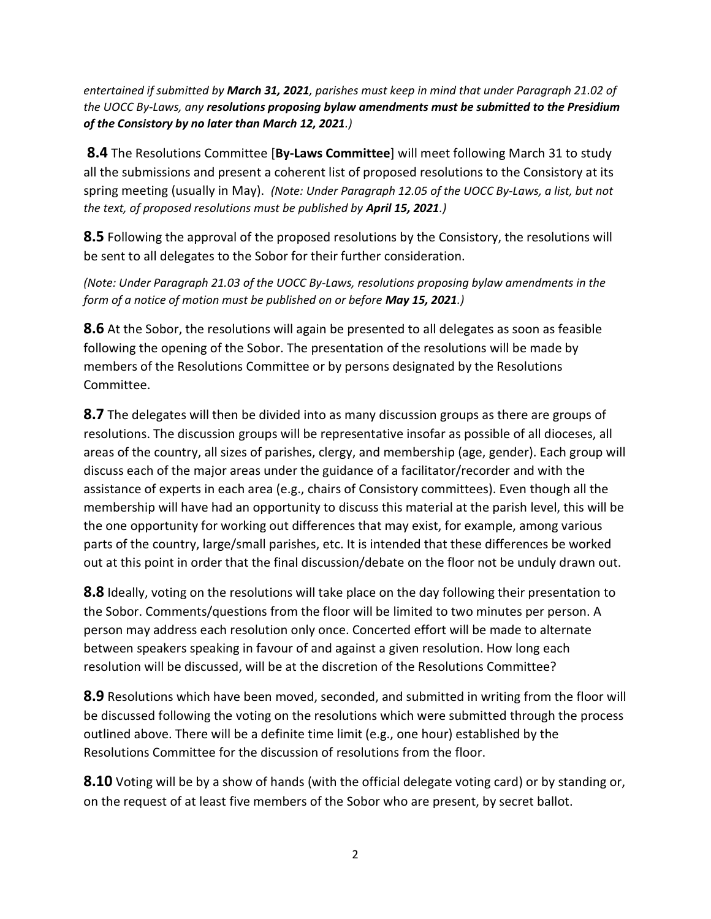entertained if submitted by March 31, 2021, parishes must keep in mind that under Paragraph 21.02 of the UOCC By-Laws, any resolutions proposing bylaw amendments must be submitted to the Presidium of the Consistory by no later than March 12, 2021.)

**8.4** The Resolutions Committee [By-Laws Committee] will meet following March 31 to study all the submissions and present a coherent list of proposed resolutions to the Consistory at its spring meeting (usually in May). (Note: Under Paragraph 12.05 of the UOCC By-Laws, a list, but not the text, of proposed resolutions must be published by **April 15, 2021**.)

**8.5** Following the approval of the proposed resolutions by the Consistory, the resolutions will be sent to all delegates to the Sobor for their further consideration.

(Note: Under Paragraph 21.03 of the UOCC By-Laws, resolutions proposing bylaw amendments in the form of a notice of motion must be published on or before May 15, 2021.)

**8.6** At the Sobor, the resolutions will again be presented to all delegates as soon as feasible following the opening of the Sobor. The presentation of the resolutions will be made by members of the Resolutions Committee or by persons designated by the Resolutions Committee.

8.7 The delegates will then be divided into as many discussion groups as there are groups of resolutions. The discussion groups will be representative insofar as possible of all dioceses, all areas of the country, all sizes of parishes, clergy, and membership (age, gender). Each group will discuss each of the major areas under the guidance of a facilitator/recorder and with the assistance of experts in each area (e.g., chairs of Consistory committees). Even though all the membership will have had an opportunity to discuss this material at the parish level, this will be the one opportunity for working out differences that may exist, for example, among various parts of the country, large/small parishes, etc. It is intended that these differences be worked out at this point in order that the final discussion/debate on the floor not be unduly drawn out.

8.8 Ideally, voting on the resolutions will take place on the day following their presentation to the Sobor. Comments/questions from the floor will be limited to two minutes per person. A person may address each resolution only once. Concerted effort will be made to alternate between speakers speaking in favour of and against a given resolution. How long each resolution will be discussed, will be at the discretion of the Resolutions Committee?

8.9 Resolutions which have been moved, seconded, and submitted in writing from the floor will be discussed following the voting on the resolutions which were submitted through the process outlined above. There will be a definite time limit (e.g., one hour) established by the Resolutions Committee for the discussion of resolutions from the floor.

**8.10** Voting will be by a show of hands (with the official delegate voting card) or by standing or, on the request of at least five members of the Sobor who are present, by secret ballot.